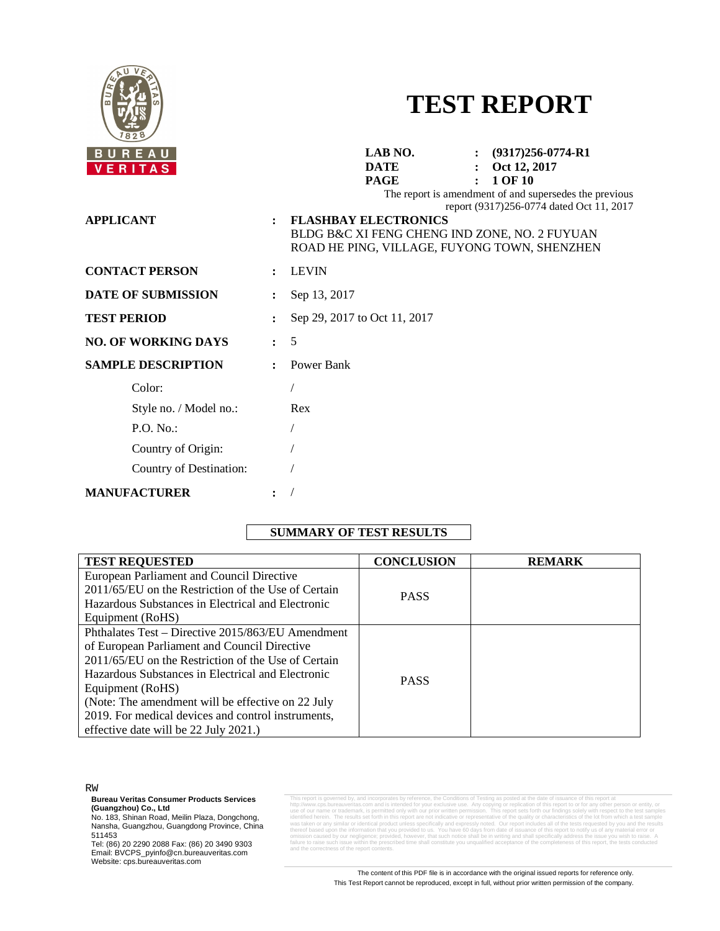

# **TEST REPORT**

| <b>REAU</b><br>U           |                      | LAB NO.<br>$\colon$ (9317)256-0774-R1                                                                                                                                                                                                                        |
|----------------------------|----------------------|--------------------------------------------------------------------------------------------------------------------------------------------------------------------------------------------------------------------------------------------------------------|
| ERITAS                     |                      | <b>DATE</b><br>Oct 12, 2017                                                                                                                                                                                                                                  |
| <b>APPLICANT</b>           | $\ddot{\cdot}$       | 1 OF 10<br><b>PAGE</b><br>The report is amendment of and supersedes the previous<br>report (9317)256-0774 dated Oct 11, 2017<br><b>FLASHBAY ELECTRONICS</b><br>BLDG B&C XI FENG CHENG IND ZONE, NO. 2 FUYUAN<br>ROAD HE PING, VILLAGE, FUYONG TOWN, SHENZHEN |
| <b>CONTACT PERSON</b>      |                      | <b>LEVIN</b>                                                                                                                                                                                                                                                 |
| <b>DATE OF SUBMISSION</b>  |                      | Sep 13, 2017                                                                                                                                                                                                                                                 |
| <b>TEST PERIOD</b>         |                      | Sep 29, 2017 to Oct 11, 2017                                                                                                                                                                                                                                 |
| <b>NO. OF WORKING DAYS</b> | $\ddot{\phantom{a}}$ | 5                                                                                                                                                                                                                                                            |
| <b>SAMPLE DESCRIPTION</b>  |                      | Power Bank                                                                                                                                                                                                                                                   |
| Color:                     |                      |                                                                                                                                                                                                                                                              |
| Style no. / Model no.:     |                      | Rex                                                                                                                                                                                                                                                          |
| P.O. No.                   |                      |                                                                                                                                                                                                                                                              |
| Country of Origin:         |                      |                                                                                                                                                                                                                                                              |
| Country of Destination:    |                      |                                                                                                                                                                                                                                                              |
| <b>MANUFACTURER</b>        |                      |                                                                                                                                                                                                                                                              |

## **SUMMARY OF TEST RESULTS**

| <b>TEST REQUESTED</b>                               | <b>CONCLUSION</b> | <b>REMARK</b> |
|-----------------------------------------------------|-------------------|---------------|
| European Parliament and Council Directive           |                   |               |
| 2011/65/EU on the Restriction of the Use of Certain | <b>PASS</b>       |               |
| Hazardous Substances in Electrical and Electronic   |                   |               |
| Equipment (RoHS)                                    |                   |               |
| Phthalates Test – Directive 2015/863/EU Amendment   |                   |               |
| of European Parliament and Council Directive        |                   |               |
| 2011/65/EU on the Restriction of the Use of Certain |                   |               |
| Hazardous Substances in Electrical and Electronic   | <b>PASS</b>       |               |
| Equipment (RoHS)                                    |                   |               |
| (Note: The amendment will be effective on 22 July   |                   |               |
| 2019. For medical devices and control instruments,  |                   |               |
| effective date will be 22 July 2021.)               |                   |               |

RW

**Bureau Veritas Consumer Products Services**

**(Guangzhou) Co., Ltd**<br>No. 183, Shinan Road, Meilin Plaza, Dongchong,<br>Nansha, Guangzhou, Guangdong Province, China 511453

Tel: (86) 20 2290 2088 Fax: (86) 20 3490 9303 Email: BVCPS\_pyinfo@cn.bureauveritas.com Website: cps.bureauveritas.com

This report is governed by, and incorporates by reference, the Conditions of Testing as posted at the date of issuance of this report at his report at the method of the method of the method of the state of the method of th thereof based upon the information that you provided to us. You have 60 days from date of issuance of this report to notify us of any material error or<br>omission caused by our negligence; provided, however, that such notify hess of the report co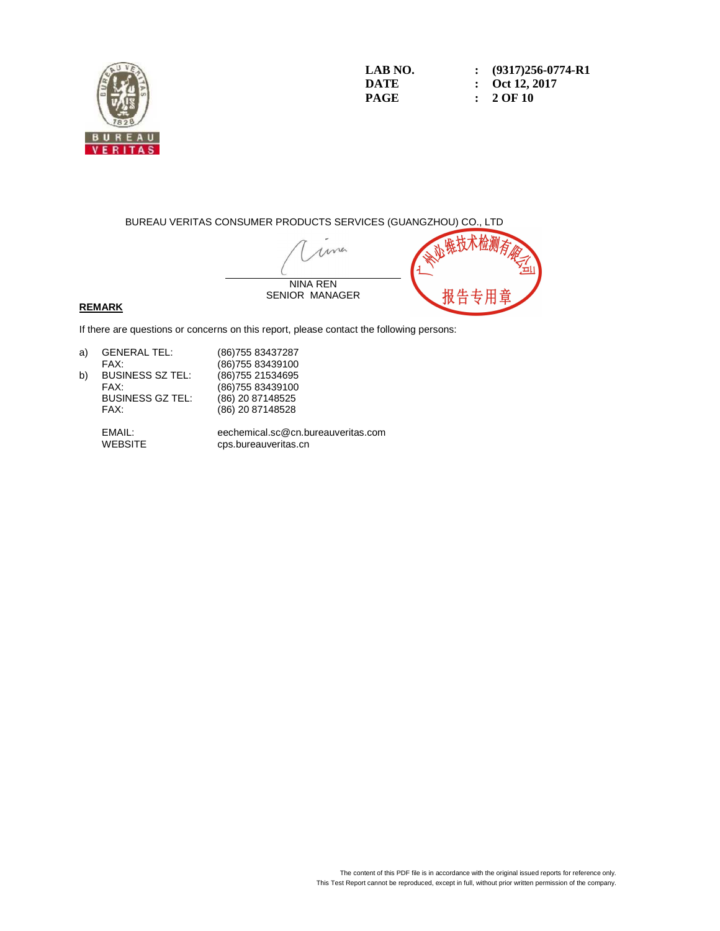

**LAB NO. : (9317)256-0774-R1 DATE : Oct 12, 2017 PAGE : 2 OF 10** 

BUREAU VERITAS CONSUMER PRODUCTS SERVICES (GUANGZHOU) CO., LTD

ma NINA REN 报告 SENIOR MANAGER

### **REMARK**

If there are questions or concerns on this report, please contact the following persons:

| a) | <b>GENERAL TEL:</b>     | (86) 755 83437287 |
|----|-------------------------|-------------------|
|    | FAX:                    | (86) 755 83439100 |
| b) | <b>BUSINESS SZ TEL:</b> | (86) 755 21534695 |
|    | FAX:                    | (86) 755 83439100 |
|    | <b>BUSINESS GZ TEL:</b> | (86) 20 87148525  |
|    | FAX:                    | (86) 20 87148528  |
|    |                         |                   |

 EMAIL: eechemical.sc@cn.bureauveritas.com cps.bureauveritas.cn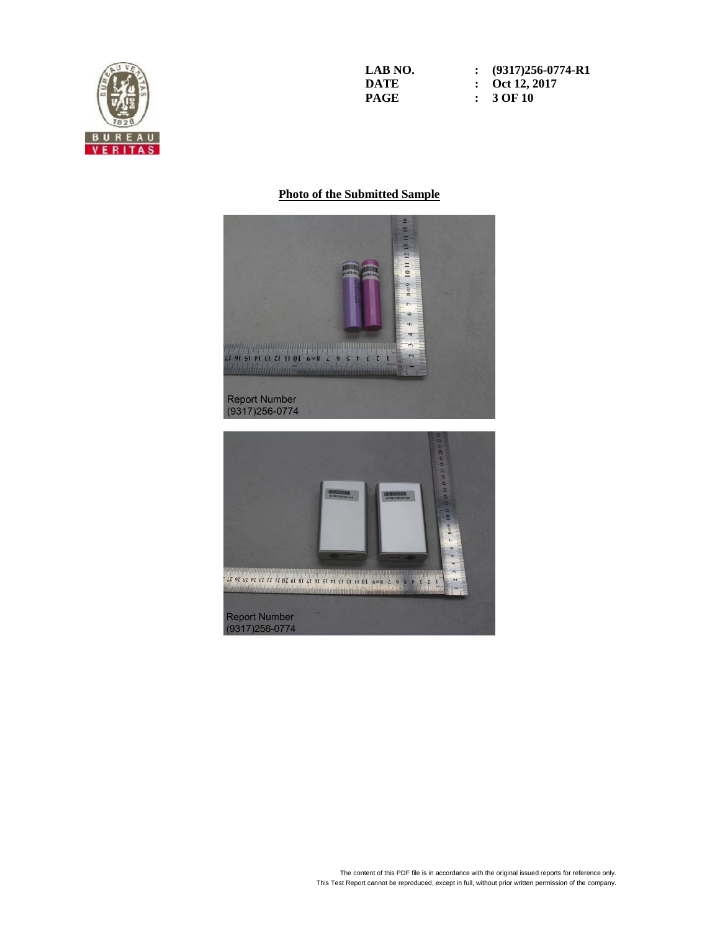

**LAB NO. : (9317)256-0774-R1 DATE : Oct 12, 2017 PAGE : 3 OF 10** 

## **Photo of the Submitted Sample**

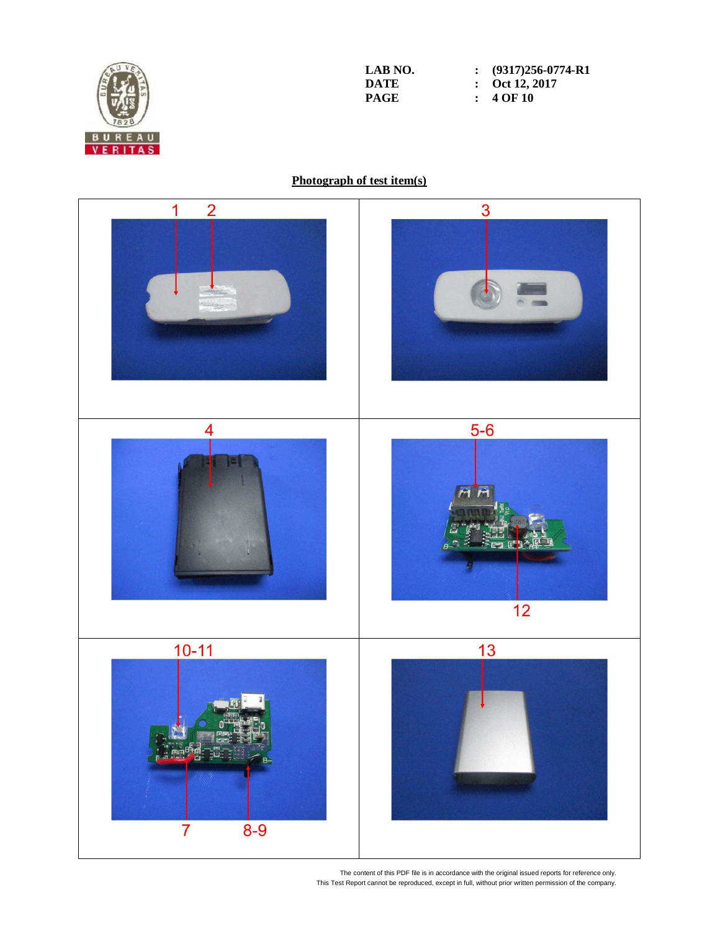

**LAB NO. : (9317)256-0774-R1 DATE :**  $\overline{Oct 12,2017}$ <br>**PAGE :**  $4 \text{ OF } 10$ **Page :**  $40F10$ 

## **Photograph of test item(s)**

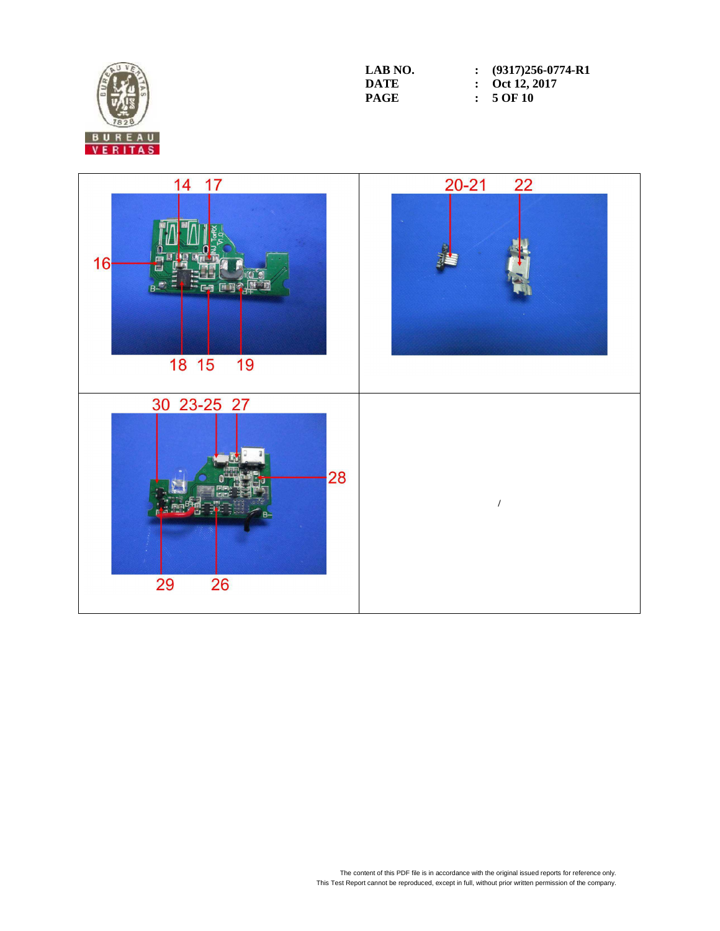

| LAB NO. | $\colon$ (9317)256-0774-R1 |
|---------|----------------------------|
| DATE    | : Oct 12, 2017             |
| PAGE    | $: 5$ OF 10                |

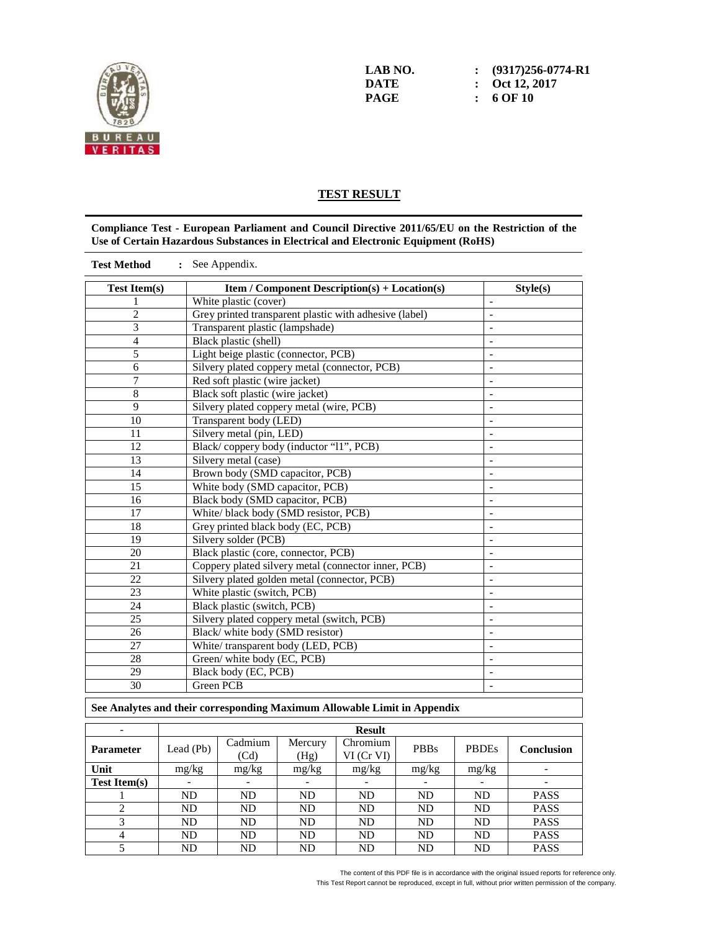

**LAB NO. : (9317)256-0774-R1 DATE : Oct 12, 2017 PAGE : 6 OF 10** 

## **TEST RESULT**

#### **Compliance Test - European Parliament and Council Directive 2011/65/EU on the Restriction of the Use of Certain Hazardous Substances in Electrical and Electronic Equipment (RoHS)**

| <b>Test Method</b>  | : See Appendix.                                                          |                              |
|---------------------|--------------------------------------------------------------------------|------------------------------|
| <b>Test Item(s)</b> | <b>Item / Component Description(s) + Location(s)</b>                     | Stvle(s)                     |
|                     | White plastic (cover)                                                    | $\overline{\phantom{a}}$     |
| $\overline{2}$      | Grey printed transparent plastic with adhesive (label)                   |                              |
| 3                   | Transparent plastic (lampshade)                                          | Ĭ,                           |
| 4                   | Black plastic (shell)                                                    | $\overline{\phantom{a}}$     |
| 5                   | Light beige plastic (connector, PCB)                                     |                              |
| 6                   | Silvery plated coppery metal (connector, PCB)                            |                              |
| 7                   | Red soft plastic (wire jacket)                                           | $\overline{a}$               |
| 8                   | Black soft plastic (wire jacket)                                         |                              |
| 9                   | Silvery plated coppery metal (wire, PCB)                                 | $\qquad \qquad \blacksquare$ |
| 10                  | Transparent body (LED)                                                   | $\overline{\phantom{m}}$     |
| 11                  | Silvery metal (pin, LED)                                                 | $\overline{a}$               |
| 12                  | Black/coppery body (inductor "11", PCB)                                  | $\overline{\phantom{0}}$     |
| 13                  | Silvery metal (case)                                                     |                              |
| 14                  | Brown body (SMD capacitor, PCB)                                          |                              |
| 15                  | White body (SMD capacitor, PCB)                                          |                              |
| $\overline{16}$     | Black body (SMD capacitor, PCB)                                          | $\overline{\phantom{m}}$     |
| 17                  | White/ black body (SMD resistor, PCB)                                    | $\overline{\phantom{a}}$     |
| 18                  | Grey printed black body (EC, PCB)                                        |                              |
| $\overline{19}$     | Silvery solder (PCB)                                                     | $\overline{a}$               |
| 20                  | Black plastic (core, connector, PCB)                                     | $\overline{a}$               |
| 21                  | Coppery plated silvery metal (connector inner, PCB)                      | $\qquad \qquad \blacksquare$ |
| 22                  | Silvery plated golden metal (connector, PCB)                             | $\overline{a}$               |
| 23                  | White plastic (switch, PCB)                                              |                              |
| 24                  | Black plastic (switch, PCB)                                              |                              |
| 25                  | Silvery plated coppery metal (switch, PCB)                               |                              |
| 26                  | Black/white body (SMD resistor)                                          |                              |
| 27                  | White/transparent body (LED, PCB)                                        | $\overline{\phantom{m}}$     |
| 28                  | Green/ white body (EC, PCB)                                              |                              |
| 29                  | Black body (EC, PCB)                                                     |                              |
| 30                  | Green PCB                                                                | $\overline{\phantom{a}}$     |
|                     | See Analytes and their corresponding Maximum Allowable Limit in Appendix |                              |

| $\overline{\phantom{a}}$ | <b>Result</b>  |                          |                                     |                             |             |                          |                          |
|--------------------------|----------------|--------------------------|-------------------------------------|-----------------------------|-------------|--------------------------|--------------------------|
| <b>Parameter</b>         | Lead (Pb)      | Cadmium<br>(Cd)          | Mercury<br>(Hg)                     | Chromium<br>$VI$ (Cr $VI$ ) | <b>PBBs</b> | <b>PBDEs</b>             | Conclusion               |
| Unit                     | mg/kg          | mg/kg                    | mg/kg                               | mg/kg                       | mg/kg       | mg/kg                    | $\overline{\phantom{a}}$ |
| <b>Test Item(s)</b>      |                | $\overline{\phantom{a}}$ | $\overline{\phantom{a}}$            | $\overline{\phantom{a}}$    |             | $\overline{\phantom{0}}$ |                          |
|                          | <b>ND</b>      | <b>ND</b>                | <b>ND</b>                           | <b>ND</b>                   | <b>ND</b>   | <b>ND</b>                | <b>PASS</b>              |
|                          | <b>ND</b>      | <b>ND</b>                | <b>ND</b>                           | <b>ND</b>                   | <b>ND</b>   | <b>ND</b>                | <b>PASS</b>              |
|                          | ND             | <b>ND</b>                | <b>ND</b>                           | <b>ND</b>                   | <b>ND</b>   | <b>ND</b>                | <b>PASS</b>              |
| 4                        | ND             | <b>ND</b>                | <b>ND</b><br><b>ND</b><br><b>ND</b> |                             | <b>ND</b>   | <b>PASS</b>              |                          |
|                          | N <sub>D</sub> | ND                       | <b>ND</b>                           | <b>ND</b>                   | <b>ND</b>   | <b>ND</b>                | <b>PASS</b>              |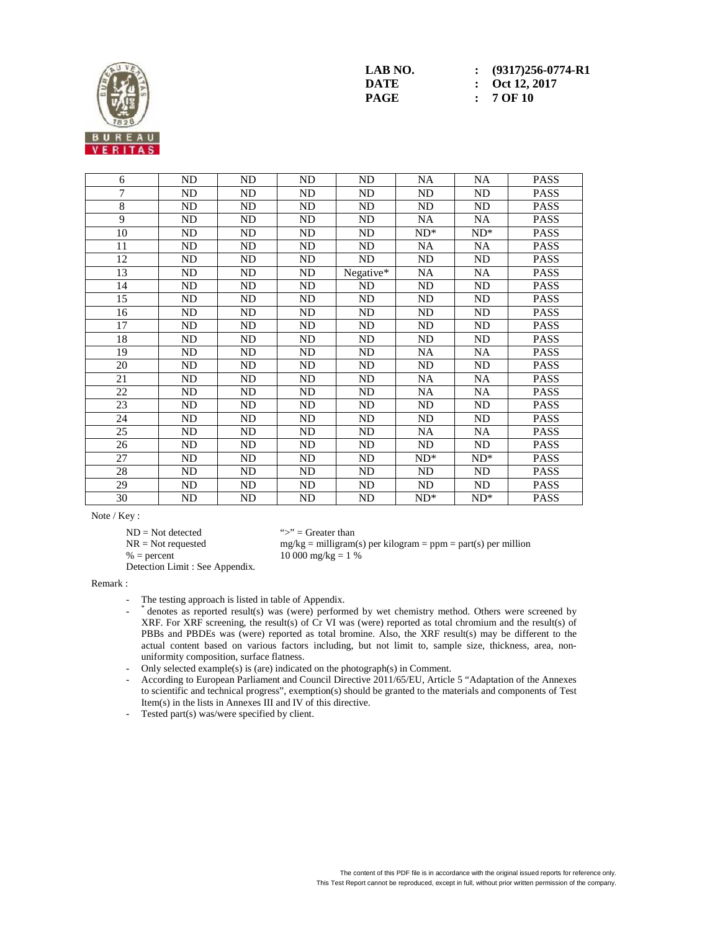

6 | ND | ND | ND | NA | NA | PASS 7 | ND | ND | ND | ND | ND | PASS 8 | ND | ND | ND | ND | ND | PASS 9 | ND | ND | ND | NA | NA | PASS  $10$  | ND | ND | ND | ND<sup>\*</sup> | ND<sup>\*</sup> | PASS 11 | ND | ND | ND | NA | NA | PASS 12 | ND | ND | ND | ND | ND | PASS 13 | ND | ND | ND | Negative\* | NA | NA | PASS 14 | ND | ND | ND | ND | ND | PASS 15 | ND | ND | ND | ND | ND | PASS 16 | ND | ND | ND | ND | ND | PASS 17 | ND | ND | ND | ND | ND | PASS 18 | ND | ND | ND | ND | ND | PASS 19 | ND | ND | ND | NA | NA | PASS 20 | ND | ND | ND | ND | ND | PASS 21 | ND | ND | ND | NA | NA | PASS 22 | ND | ND | ND | NA | NA | PASS 23 | ND | ND | ND | ND | ND | PASS 24 | ND | ND | ND | ND | ND | PASS 25 | ND | ND | ND | NA | NA | PASS 26 | ND | ND | ND | ND | ND | PASS 27 | ND | ND | ND | ND | ND<sup>\*</sup> | ND<sup>\*</sup> | PASS 28 | ND | ND | ND | ND | ND | PASS 29 | ND | ND | ND | ND | ND | PASS  $30$  | ND | ND | ND | ND | ND\* | PASS

Note / Key :

 $ND = Not detected$  ">" = Greater than<br>  $NR = Not$  requested  $mg/kg = milligram$ 

 $% = percent$  10 000 mg/kg = 1 %

 $mg/kg =$  milligram(s) per kilogram = ppm = part(s) per million

Detection Limit : See Appendix.

#### Remark :

The testing approach is listed in table of Appendix.

- denotes as reported result(s) was (were) performed by wet chemistry method. Others were screened by XRF. For XRF screening, the result(s) of Cr VI was (were) reported as total chromium and the result(s) of PBBs and PBDEs was (were) reported as total bromine. Also, the XRF result(s) may be different to the actual content based on various factors including, but not limit to, sample size, thickness, area, nonuniformity composition, surface flatness.
	- Only selected example(s) is (are) indicated on the photograph(s) in Comment.
	- According to European Parliament and Council Directive 2011/65/EU, Article 5 "Adaptation of the Annexes to scientific and technical progress", exemption(s) should be granted to the materials and components of Test Item(s) in the lists in Annexes III and IV of this directive.
	- Tested part(s) was/were specified by client.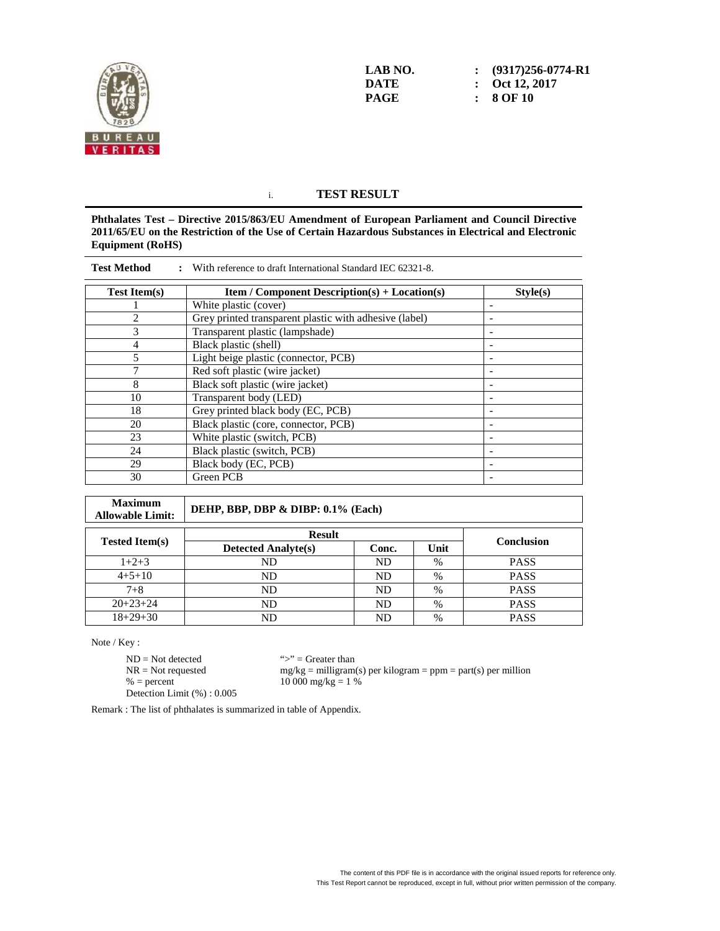

**LAB NO. : (9317)256-0774-R1 DATE : Oct 12, 2017 PAGE : 8 OF 10** 

## i. **TEST RESULT**

**Phthalates Test – Directive 2015/863/EU Amendment of European Parliament and Council Directive 2011/65/EU on the Restriction of the Use of Certain Hazardous Substances in Electrical and Electronic Equipment (RoHS)** 

| <b>Test Method</b>  | With reference to draft International Standard IEC 62321-8. |                          |
|---------------------|-------------------------------------------------------------|--------------------------|
| <b>Test Item(s)</b> | <b>Item / Component Description(s) + Location(s)</b>        | Style(s)                 |
|                     | White plastic (cover)                                       |                          |
| 2                   | Grey printed transparent plastic with adhesive (label)      | $\overline{\phantom{a}}$ |
| 3                   | Transparent plastic (lampshade)                             |                          |
| 4                   | Black plastic (shell)                                       |                          |
| 5                   | Light beige plastic (connector, PCB)                        |                          |
|                     | Red soft plastic (wire jacket)                              |                          |
| 8                   | Black soft plastic (wire jacket)                            | ۰                        |
| 10                  | Transparent body (LED)                                      |                          |
| 18                  | Grey printed black body (EC, PCB)                           |                          |
| 20                  | Black plastic (core, connector, PCB)                        | -                        |
| 23                  | White plastic (switch, PCB)                                 | -                        |
| 24                  | Black plastic (switch, PCB)                                 |                          |
| 29                  | Black body (EC, PCB)                                        |                          |
| 30                  | <b>Green PCB</b>                                            | -                        |

| <b>Maximum</b><br><b>Allowable Limit:</b> | DEHP, BBP, DBP & DIBP: 0.1% (Each) |           |      |                   |  |  |  |
|-------------------------------------------|------------------------------------|-----------|------|-------------------|--|--|--|
|                                           | <b>Result</b>                      |           |      |                   |  |  |  |
| <b>Tested Item(s)</b>                     | <b>Detected Analyte(s)</b>         | Conc.     | Unit | <b>Conclusion</b> |  |  |  |
| $1+2+3$                                   | ND                                 | ND        | $\%$ | <b>PASS</b>       |  |  |  |
| $4+5+10$                                  | ND                                 | <b>ND</b> | $\%$ | <b>PASS</b>       |  |  |  |
| $7 + 8$                                   | ND                                 | ND        | %    | <b>PASS</b>       |  |  |  |
| $20+23+24$                                | ND                                 | ND        | $\%$ | <b>PASS</b>       |  |  |  |
| $18+29+30$                                | ND                                 | ND        | $\%$ | <b>PASS</b>       |  |  |  |

Note / Key :

 $ND = Not detected$  ">" = Greater than  $% = percent$  10 000 mg/kg = 1 % Detection Limit (%) : 0.005

 $NR = Not requested$  mg/kg = milligram(s) per kilogram = ppm = part(s) per million

Remark : The list of phthalates is summarized in table of Appendix.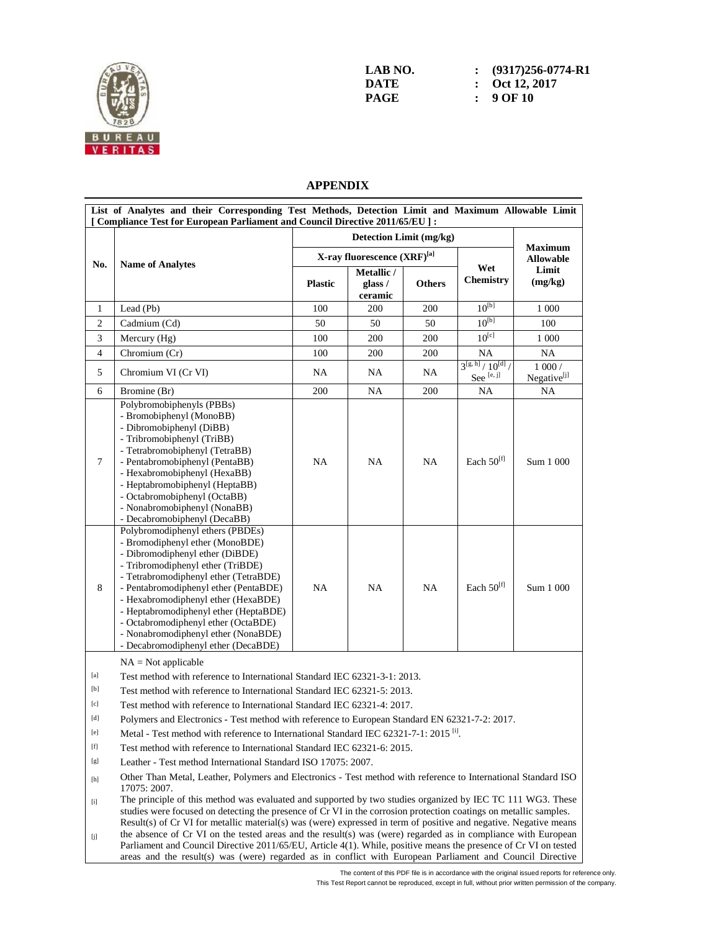

| LAB NO. | $\therefore$ (9317)256-0774-R1 |
|---------|--------------------------------|
| DATE    | $\therefore$ Oct 12, 2017      |
| PAGE    | $\therefore$ 9 OF 10           |

## **APPENDIX**

|                                                                                                                                                                                                                                                                                                                                                                                                                                                                                                                                                                                                                                                                                                                                                                                                                                                                                                                                       |                                                                                                                                                                                                                                                                                                                                                                                                                                                                       |                | Detection Limit (mg/kg)          |               |                                             |                                    |
|---------------------------------------------------------------------------------------------------------------------------------------------------------------------------------------------------------------------------------------------------------------------------------------------------------------------------------------------------------------------------------------------------------------------------------------------------------------------------------------------------------------------------------------------------------------------------------------------------------------------------------------------------------------------------------------------------------------------------------------------------------------------------------------------------------------------------------------------------------------------------------------------------------------------------------------|-----------------------------------------------------------------------------------------------------------------------------------------------------------------------------------------------------------------------------------------------------------------------------------------------------------------------------------------------------------------------------------------------------------------------------------------------------------------------|----------------|----------------------------------|---------------|---------------------------------------------|------------------------------------|
|                                                                                                                                                                                                                                                                                                                                                                                                                                                                                                                                                                                                                                                                                                                                                                                                                                                                                                                                       | <b>Name of Analytes</b>                                                                                                                                                                                                                                                                                                                                                                                                                                               |                | X-ray fluorescence (XRF)[a]      |               | <b>Maximum</b><br><b>Allowable</b>          |                                    |
| No.                                                                                                                                                                                                                                                                                                                                                                                                                                                                                                                                                                                                                                                                                                                                                                                                                                                                                                                                   |                                                                                                                                                                                                                                                                                                                                                                                                                                                                       | <b>Plastic</b> | Metallic /<br>glass /<br>ceramic | <b>Others</b> | Wet<br>Chemistry                            | Limit<br>(mg/kg)                   |
| 1                                                                                                                                                                                                                                                                                                                                                                                                                                                                                                                                                                                                                                                                                                                                                                                                                                                                                                                                     | Lead (Pb)                                                                                                                                                                                                                                                                                                                                                                                                                                                             | 100            | 200                              | 200           | $10^{[b]}$                                  | 1 0 0 0                            |
| $\overline{c}$                                                                                                                                                                                                                                                                                                                                                                                                                                                                                                                                                                                                                                                                                                                                                                                                                                                                                                                        | Cadmium (Cd)                                                                                                                                                                                                                                                                                                                                                                                                                                                          | 50             | 50                               | 50            | $10^{[b]}$                                  | 100                                |
| 3                                                                                                                                                                                                                                                                                                                                                                                                                                                                                                                                                                                                                                                                                                                                                                                                                                                                                                                                     | Mercury (Hg)                                                                                                                                                                                                                                                                                                                                                                                                                                                          | 100            | 200                              | 200           | $10^{[c]}$                                  | 1 000                              |
| $\overline{4}$                                                                                                                                                                                                                                                                                                                                                                                                                                                                                                                                                                                                                                                                                                                                                                                                                                                                                                                        | Chromium (Cr)                                                                                                                                                                                                                                                                                                                                                                                                                                                         | 100            | 200                              | 200           | <b>NA</b>                                   | $\rm NA$                           |
| 5                                                                                                                                                                                                                                                                                                                                                                                                                                                                                                                                                                                                                                                                                                                                                                                                                                                                                                                                     | Chromium VI (Cr VI)                                                                                                                                                                                                                                                                                                                                                                                                                                                   | NA             | NA                               | NA            | $3^{[g, h]}/10^{[d]}$<br>See $^{\rm [e,j]}$ | $1000/$<br>Negative <sup>[j]</sup> |
| 6                                                                                                                                                                                                                                                                                                                                                                                                                                                                                                                                                                                                                                                                                                                                                                                                                                                                                                                                     | Bromine (Br)                                                                                                                                                                                                                                                                                                                                                                                                                                                          | 200            | NA                               | 200           | NA                                          | NA                                 |
| $\tau$                                                                                                                                                                                                                                                                                                                                                                                                                                                                                                                                                                                                                                                                                                                                                                                                                                                                                                                                | Polybromobiphenyls (PBBs)<br>- Bromobiphenyl (MonoBB)<br>- Dibromobiphenyl (DiBB)<br>- Tribromobiphenyl (TriBB)<br>- Tetrabromobiphenyl (TetraBB)<br>- Pentabromobiphenyl (PentaBB)<br>- Hexabromobiphenyl (HexaBB)<br>- Heptabromobiphenyl (HeptaBB)<br>- Octabromobiphenyl (OctaBB)<br>- Nonabromobiphenyl (NonaBB)<br>- Decabromobiphenyl (DecaBB)                                                                                                                 | NA             | NA                               | NA            | Each $50^{[f]}$                             | Sum 1 000                          |
| 8                                                                                                                                                                                                                                                                                                                                                                                                                                                                                                                                                                                                                                                                                                                                                                                                                                                                                                                                     | Polybromodiphenyl ethers (PBDEs)<br>- Bromodiphenyl ether (MonoBDE)<br>- Dibromodiphenyl ether (DiBDE)<br>- Tribromodiphenyl ether (TriBDE)<br>- Tetrabromodiphenyl ether (TetraBDE)<br>- Pentabromodiphenyl ether (PentaBDE)<br>- Hexabromodiphenyl ether (HexaBDE)<br>- Heptabromodiphenyl ether (HeptaBDE)<br>- Octabromodiphenyl ether (OctaBDE)<br>- Nonabromodiphenyl ether (NonaBDE)<br>- Decabromodiphenyl ether (DecaBDE)                                    | NA             | NA                               | NA            | Each $50^{[f]}$                             | Sum 1 000                          |
|                                                                                                                                                                                                                                                                                                                                                                                                                                                                                                                                                                                                                                                                                                                                                                                                                                                                                                                                       | $NA = Not applicable$                                                                                                                                                                                                                                                                                                                                                                                                                                                 |                |                                  |               |                                             |                                    |
| [a]                                                                                                                                                                                                                                                                                                                                                                                                                                                                                                                                                                                                                                                                                                                                                                                                                                                                                                                                   | Test method with reference to International Standard IEC 62321-3-1: 2013.                                                                                                                                                                                                                                                                                                                                                                                             |                |                                  |               |                                             |                                    |
| [b]                                                                                                                                                                                                                                                                                                                                                                                                                                                                                                                                                                                                                                                                                                                                                                                                                                                                                                                                   | Test method with reference to International Standard IEC 62321-5: 2013.                                                                                                                                                                                                                                                                                                                                                                                               |                |                                  |               |                                             |                                    |
| [c]                                                                                                                                                                                                                                                                                                                                                                                                                                                                                                                                                                                                                                                                                                                                                                                                                                                                                                                                   | Test method with reference to International Standard IEC 62321-4: 2017.                                                                                                                                                                                                                                                                                                                                                                                               |                |                                  |               |                                             |                                    |
| [d]                                                                                                                                                                                                                                                                                                                                                                                                                                                                                                                                                                                                                                                                                                                                                                                                                                                                                                                                   | Polymers and Electronics - Test method with reference to European Standard EN 62321-7-2: 2017.                                                                                                                                                                                                                                                                                                                                                                        |                |                                  |               |                                             |                                    |
| $[{\rm e}]$                                                                                                                                                                                                                                                                                                                                                                                                                                                                                                                                                                                                                                                                                                                                                                                                                                                                                                                           | Metal - Test method with reference to International Standard IEC 62321-7-1: 2015 <sup>[i]</sup> .                                                                                                                                                                                                                                                                                                                                                                     |                |                                  |               |                                             |                                    |
| $[f] % \centering % {\includegraphics[width=0.9\textwidth]{figs/appendix.png}} \caption{The figure shows the number of times, and the number of times, and the number of times, and the number of times, and the number of times, and the number of times, and the number of times, and the number of times, and the number of times, and the number of times, and the number of times, and the number of times, and the number of times, and the number of times, and the number of times, and the number of times, and the number of times, and the number of times, and the number of times, and the number of times, and the number of times, and the number of times, and the number of times, and the number of times, and the number of times, and the number of times, and the number of times, and the number of times, and the number of times, and the number of times, and the number of times, and$                      | Test method with reference to International Standard IEC 62321-6: 2015.                                                                                                                                                                                                                                                                                                                                                                                               |                |                                  |               |                                             |                                    |
| [g]                                                                                                                                                                                                                                                                                                                                                                                                                                                                                                                                                                                                                                                                                                                                                                                                                                                                                                                                   | Leather - Test method International Standard ISO 17075: 2007.                                                                                                                                                                                                                                                                                                                                                                                                         |                |                                  |               |                                             |                                    |
| [h]                                                                                                                                                                                                                                                                                                                                                                                                                                                                                                                                                                                                                                                                                                                                                                                                                                                                                                                                   | Other Than Metal, Leather, Polymers and Electronics - Test method with reference to International Standard ISO<br>17075: 2007.                                                                                                                                                                                                                                                                                                                                        |                |                                  |               |                                             |                                    |
| $[1] % \centering \includegraphics[width=0.9\columnwidth]{figures/fig_10.pdf} \caption{The average number of times of the estimators in the left and right. The blue number of times in the right, the red number of times in the right, the red number of times in the right, the red number of times in the right, the red number of times in the right, the red number of times in the right, the red number of times in the right, the red number of times in the right, the red number of times in the right, the red number of times in the right, the red number of times in the right, the red number of times in the right, the red number of times in the right, the red number of times in the right, the red number of times in the right, the red number of times in the right, the red number of times in the right, the red number of times in the right, the red number of times in the right, the red number$<br>[j] | The principle of this method was evaluated and supported by two studies organized by IEC TC 111 WG3. These<br>studies were focused on detecting the presence of Cr VI in the corrosion protection coatings on metallic samples.<br>Result(s) of Cr VI for metallic material(s) was (were) expressed in term of positive and negative. Negative means<br>the absence of Cr VI on the tested areas and the result(s) was (were) regarded as in compliance with European |                |                                  |               |                                             |                                    |

Parliament and Council Directive 2011/65/EU, Article 4(1). While, positive means the presence of Cr VI on tested areas and the result(s) was (were) regarded as in conflict with European Parliament and Council Directive